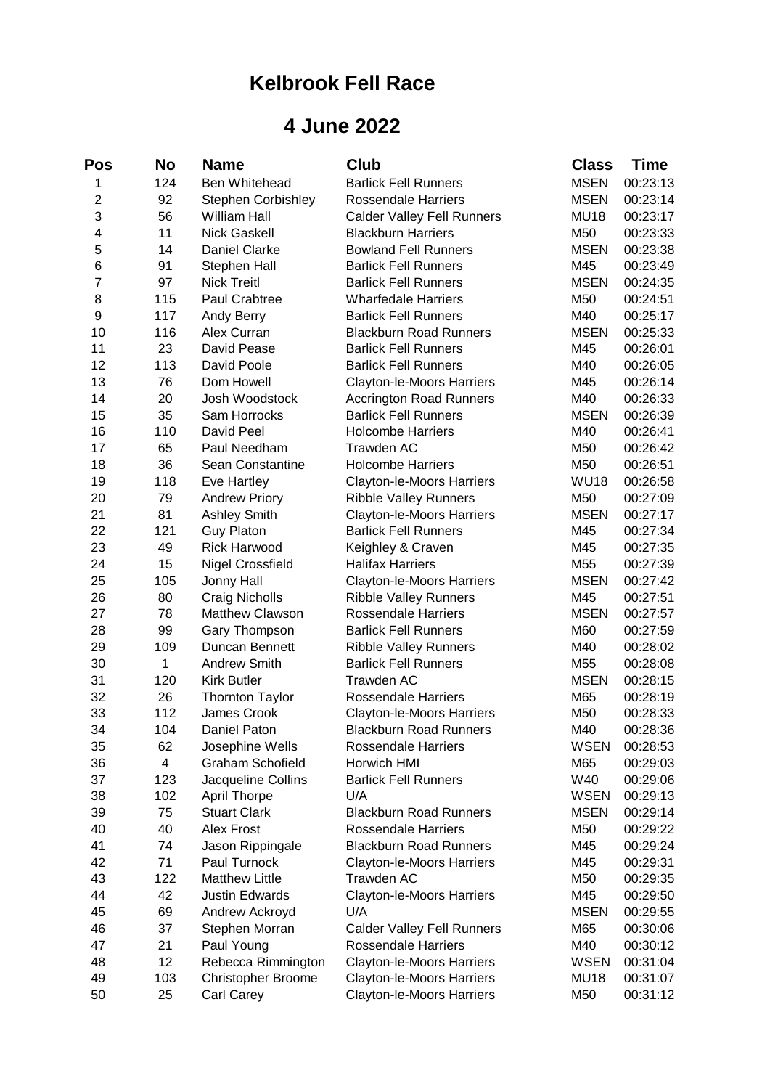## **Kelbrook Fell Race**

## **4 June 2022**

| Pos            | No  | Name                      | <b>Club</b>                       | <b>Class</b> | <b>Time</b> |
|----------------|-----|---------------------------|-----------------------------------|--------------|-------------|
| 1              | 124 | Ben Whitehead             | <b>Barlick Fell Runners</b>       | <b>MSEN</b>  | 00:23:13    |
| $\overline{2}$ | 92  | <b>Stephen Corbishley</b> | <b>Rossendale Harriers</b>        | <b>MSEN</b>  | 00:23:14    |
| 3              | 56  | <b>William Hall</b>       | <b>Calder Valley Fell Runners</b> | <b>MU18</b>  | 00:23:17    |
| 4              | 11  | <b>Nick Gaskell</b>       | <b>Blackburn Harriers</b>         | M50          | 00:23:33    |
| 5              | 14  | <b>Daniel Clarke</b>      | <b>Bowland Fell Runners</b>       | <b>MSEN</b>  | 00:23:38    |
| 6              | 91  | Stephen Hall              | <b>Barlick Fell Runners</b>       | M45          | 00:23:49    |
| 7              | 97  | <b>Nick Treitl</b>        | <b>Barlick Fell Runners</b>       | <b>MSEN</b>  | 00:24:35    |
| 8              | 115 | Paul Crabtree             | <b>Wharfedale Harriers</b>        | M50          | 00:24:51    |
| 9              | 117 | Andy Berry                | <b>Barlick Fell Runners</b>       | M40          | 00:25:17    |
| 10             | 116 | Alex Curran               | <b>Blackburn Road Runners</b>     | <b>MSEN</b>  | 00:25:33    |
| 11             | 23  | David Pease               | <b>Barlick Fell Runners</b>       | M45          | 00:26:01    |
| 12             | 113 | David Poole               | <b>Barlick Fell Runners</b>       | M40          | 00:26:05    |
| 13             | 76  | Dom Howell                | Clayton-le-Moors Harriers         | M45          | 00:26:14    |
| 14             | 20  | Josh Woodstock            | <b>Accrington Road Runners</b>    | M40          | 00:26:33    |
| 15             | 35  | Sam Horrocks              | <b>Barlick Fell Runners</b>       | <b>MSEN</b>  | 00:26:39    |
| 16             | 110 | David Peel                | <b>Holcombe Harriers</b>          | M40          | 00:26:41    |
| 17             | 65  | Paul Needham              | Trawden AC                        | M50          | 00:26:42    |
| 18             | 36  | Sean Constantine          | <b>Holcombe Harriers</b>          | M50          | 00:26:51    |
| 19             | 118 | Eve Hartley               | Clayton-le-Moors Harriers         | <b>WU18</b>  | 00:26:58    |
| 20             | 79  | <b>Andrew Priory</b>      | <b>Ribble Valley Runners</b>      | M50          | 00:27:09    |
| 21             | 81  | <b>Ashley Smith</b>       | Clayton-le-Moors Harriers         | <b>MSEN</b>  | 00:27:17    |
| 22             | 121 | <b>Guy Platon</b>         | <b>Barlick Fell Runners</b>       | M45          | 00:27:34    |
| 23             | 49  | <b>Rick Harwood</b>       | Keighley & Craven                 | M45          | 00:27:35    |
| 24             | 15  | <b>Nigel Crossfield</b>   | <b>Halifax Harriers</b>           | M55          | 00:27:39    |
| 25             | 105 | Jonny Hall                | Clayton-le-Moors Harriers         | <b>MSEN</b>  | 00:27:42    |
| 26             | 80  | Craig Nicholls            | <b>Ribble Valley Runners</b>      | M45          | 00:27:51    |
| 27             | 78  | Matthew Clawson           | <b>Rossendale Harriers</b>        | <b>MSEN</b>  | 00:27:57    |
| 28             | 99  | Gary Thompson             | <b>Barlick Fell Runners</b>       | M60          | 00:27:59    |
| 29             | 109 | Duncan Bennett            | <b>Ribble Valley Runners</b>      | M40          | 00:28:02    |
| 30             | 1   | <b>Andrew Smith</b>       | <b>Barlick Fell Runners</b>       | M55          | 00:28:08    |
| 31             | 120 | <b>Kirk Butler</b>        | Trawden AC                        | <b>MSEN</b>  | 00:28:15    |
| 32             | 26  | <b>Thornton Taylor</b>    | <b>Rossendale Harriers</b>        | M65          | 00:28:19    |
| 33             | 112 | James Crook               | <b>Clayton-le-Moors Harriers</b>  | M50          | 00:28:33    |
| 34             | 104 | Daniel Paton              | <b>Blackburn Road Runners</b>     | M40          | 00:28:36    |
| 35             | 62  | Josephine Wells           | Rossendale Harriers               | <b>WSEN</b>  | 00:28:53    |
| 36             | 4   | <b>Graham Schofield</b>   | Horwich HMI                       | M65          | 00:29:03    |
| 37             | 123 | Jacqueline Collins        | <b>Barlick Fell Runners</b>       | W40          | 00:29:06    |
| 38             | 102 | <b>April Thorpe</b>       | U/A                               | <b>WSEN</b>  | 00:29:13    |
| 39             | 75  | <b>Stuart Clark</b>       | <b>Blackburn Road Runners</b>     | <b>MSEN</b>  | 00:29:14    |
| 40             | 40  | Alex Frost                | <b>Rossendale Harriers</b>        | M50          | 00:29:22    |
| 41             | 74  | Jason Rippingale          | <b>Blackburn Road Runners</b>     | M45          | 00:29:24    |
| 42             | 71  | Paul Turnock              | <b>Clayton-le-Moors Harriers</b>  | M45          | 00:29:31    |
| 43             | 122 | <b>Matthew Little</b>     | Trawden AC                        | M50          | 00:29:35    |
| 44             | 42  | <b>Justin Edwards</b>     | Clayton-le-Moors Harriers         | M45          | 00:29:50    |
| 45             | 69  | Andrew Ackroyd            | U/A                               | <b>MSEN</b>  | 00:29:55    |
| 46             | 37  | Stephen Morran            | <b>Calder Valley Fell Runners</b> | M65          | 00:30:06    |
| 47             | 21  | Paul Young                | <b>Rossendale Harriers</b>        | M40          | 00:30:12    |
| 48             | 12  | Rebecca Rimmington        | <b>Clayton-le-Moors Harriers</b>  | <b>WSEN</b>  | 00:31:04    |
| 49             | 103 | Christopher Broome        | Clayton-le-Moors Harriers         | <b>MU18</b>  | 00:31:07    |
| 50             | 25  | Carl Carey                | Clayton-le-Moors Harriers         | M50          | 00:31:12    |
|                |     |                           |                                   |              |             |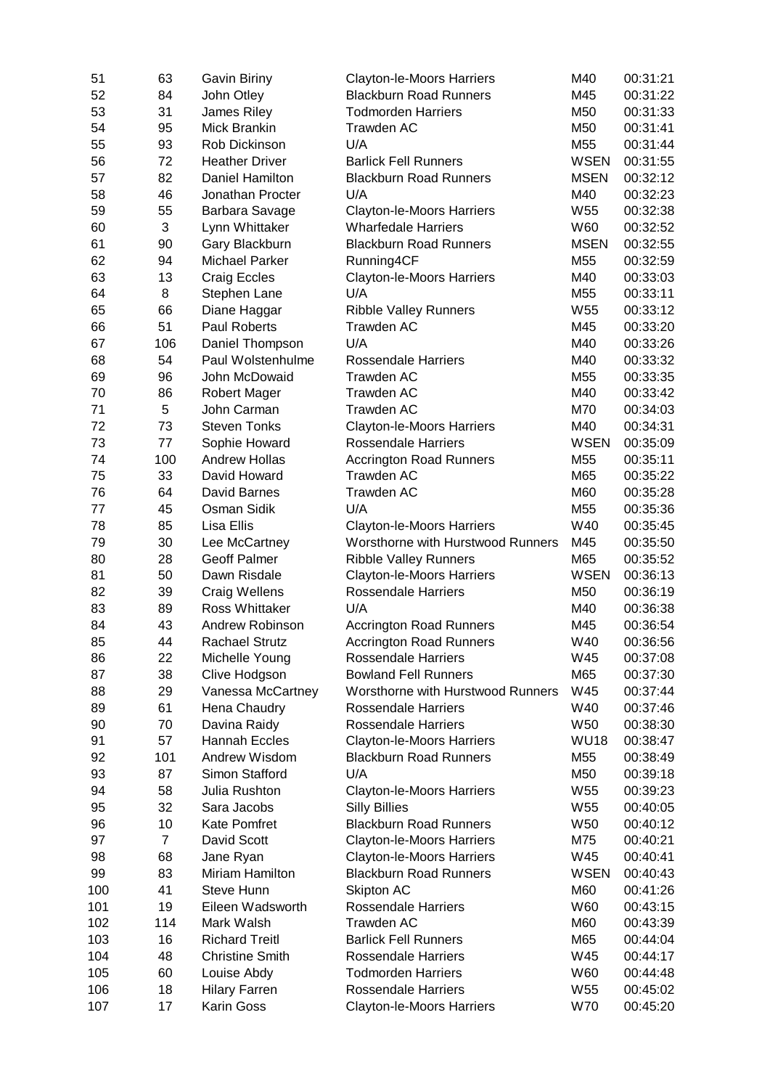| 51  | 63             | <b>Gavin Biriny</b>    | Clayton-le-Moors Harriers         | M40             | 00:31:21 |
|-----|----------------|------------------------|-----------------------------------|-----------------|----------|
| 52  | 84             | John Otley             | <b>Blackburn Road Runners</b>     | M45             | 00:31:22 |
| 53  | 31             | James Riley            | <b>Todmorden Harriers</b>         | M50             | 00:31:33 |
| 54  | 95             | Mick Brankin           | <b>Trawden AC</b>                 | M50             | 00:31:41 |
| 55  | 93             | Rob Dickinson          | U/A                               | M55             | 00:31:44 |
| 56  | 72             | <b>Heather Driver</b>  | <b>Barlick Fell Runners</b>       | <b>WSEN</b>     | 00:31:55 |
| 57  | 82             | Daniel Hamilton        | <b>Blackburn Road Runners</b>     | <b>MSEN</b>     | 00:32:12 |
| 58  | 46             | Jonathan Procter       | U/A                               | M40             | 00:32:23 |
| 59  | 55             | Barbara Savage         | Clayton-le-Moors Harriers         | W <sub>55</sub> | 00:32:38 |
| 60  | 3              | Lynn Whittaker         | <b>Wharfedale Harriers</b>        | W60             | 00:32:52 |
| 61  | 90             | Gary Blackburn         | <b>Blackburn Road Runners</b>     | <b>MSEN</b>     | 00:32:55 |
| 62  | 94             | <b>Michael Parker</b>  | Running4CF                        | M55             | 00:32:59 |
| 63  | 13             | <b>Craig Eccles</b>    | Clayton-le-Moors Harriers         | M40             | 00:33:03 |
| 64  | 8              | Stephen Lane           | U/A                               | M55             | 00:33:11 |
| 65  | 66             |                        |                                   | W55             |          |
|     |                | Diane Haggar           | <b>Ribble Valley Runners</b>      |                 | 00:33:12 |
| 66  | 51             | Paul Roberts           | Trawden AC                        | M45             | 00:33:20 |
| 67  | 106            | Daniel Thompson        | U/A                               | M40             | 00:33:26 |
| 68  | 54             | Paul Wolstenhulme      | <b>Rossendale Harriers</b>        | M40             | 00:33:32 |
| 69  | 96             | John McDowaid          | <b>Trawden AC</b>                 | M55             | 00:33:35 |
| 70  | 86             | <b>Robert Mager</b>    | Trawden AC                        | M40             | 00:33:42 |
| 71  | 5              | John Carman            | Trawden AC                        | M70             | 00:34:03 |
| 72  | 73             | <b>Steven Tonks</b>    | Clayton-le-Moors Harriers         | M40             | 00:34:31 |
| 73  | 77             | Sophie Howard          | <b>Rossendale Harriers</b>        | <b>WSEN</b>     | 00:35:09 |
| 74  | 100            | <b>Andrew Hollas</b>   | <b>Accrington Road Runners</b>    | M55             | 00:35:11 |
| 75  | 33             | David Howard           | <b>Trawden AC</b>                 | M65             | 00:35:22 |
| 76  | 64             | David Barnes           | <b>Trawden AC</b>                 | M60             | 00:35:28 |
| 77  | 45             | Osman Sidik            | U/A                               | M55             | 00:35:36 |
| 78  | 85             | Lisa Ellis             | <b>Clayton-le-Moors Harriers</b>  | W40             | 00:35:45 |
| 79  | 30             | Lee McCartney          | Worsthorne with Hurstwood Runners | M45             | 00:35:50 |
| 80  | 28             | <b>Geoff Palmer</b>    | <b>Ribble Valley Runners</b>      | M65             | 00:35:52 |
| 81  | 50             | Dawn Risdale           | <b>Clayton-le-Moors Harriers</b>  | <b>WSEN</b>     | 00:36:13 |
| 82  | 39             | Craig Wellens          | <b>Rossendale Harriers</b>        | M50             | 00:36:19 |
| 83  | 89             | <b>Ross Whittaker</b>  | U/A                               | M40             | 00:36:38 |
| 84  | 43             | Andrew Robinson        | <b>Accrington Road Runners</b>    | M45             | 00:36:54 |
| 85  | 44             | <b>Rachael Strutz</b>  | <b>Accrington Road Runners</b>    | W40             | 00:36:56 |
| 86  | 22             | Michelle Young         | Rossendale Harriers               | W45             | 00:37:08 |
| 87  | 38             | Clive Hodgson          | <b>Bowland Fell Runners</b>       | M65             | 00:37:30 |
| 88  | 29             | Vanessa McCartney      | Worsthorne with Hurstwood Runners | W45             | 00:37:44 |
|     |                |                        |                                   | W40             |          |
| 89  | 61             | Hena Chaudry           | <b>Rossendale Harriers</b>        |                 | 00:37:46 |
| 90  | 70             | Davina Raidy           | <b>Rossendale Harriers</b>        | W <sub>50</sub> | 00:38:30 |
| 91  | 57             | Hannah Eccles          | <b>Clayton-le-Moors Harriers</b>  | <b>WU18</b>     | 00:38:47 |
| 92  | 101            | Andrew Wisdom          | <b>Blackburn Road Runners</b>     | M55             | 00:38:49 |
| 93  | 87             | Simon Stafford         | U/A                               | M50             | 00:39:18 |
| 94  | 58             | Julia Rushton          | <b>Clayton-le-Moors Harriers</b>  | W55             | 00:39:23 |
| 95  | 32             | Sara Jacobs            | <b>Silly Billies</b>              | W <sub>55</sub> | 00:40:05 |
| 96  | 10             | Kate Pomfret           | <b>Blackburn Road Runners</b>     | W50             | 00:40:12 |
| 97  | $\overline{7}$ | David Scott            | Clayton-le-Moors Harriers         | M75             | 00:40:21 |
| 98  | 68             | Jane Ryan              | <b>Clayton-le-Moors Harriers</b>  | W45             | 00:40:41 |
| 99  | 83             | Miriam Hamilton        | <b>Blackburn Road Runners</b>     | <b>WSEN</b>     | 00:40:43 |
| 100 | 41             | Steve Hunn             | Skipton AC                        | M60             | 00:41:26 |
| 101 | 19             | Eileen Wadsworth       | <b>Rossendale Harriers</b>        | W60             | 00:43:15 |
| 102 | 114            | Mark Walsh             | <b>Trawden AC</b>                 | M60             | 00:43:39 |
| 103 | 16             | <b>Richard Treitl</b>  | <b>Barlick Fell Runners</b>       | M65             | 00:44:04 |
| 104 | 48             | <b>Christine Smith</b> | <b>Rossendale Harriers</b>        | W45             | 00:44:17 |
| 105 | 60             | Louise Abdy            | <b>Todmorden Harriers</b>         | W60             | 00:44:48 |
| 106 | 18             | <b>Hilary Farren</b>   | <b>Rossendale Harriers</b>        | W55             | 00:45:02 |
| 107 | 17             | Karin Goss             | Clayton-le-Moors Harriers         | W70             | 00:45:20 |
|     |                |                        |                                   |                 |          |